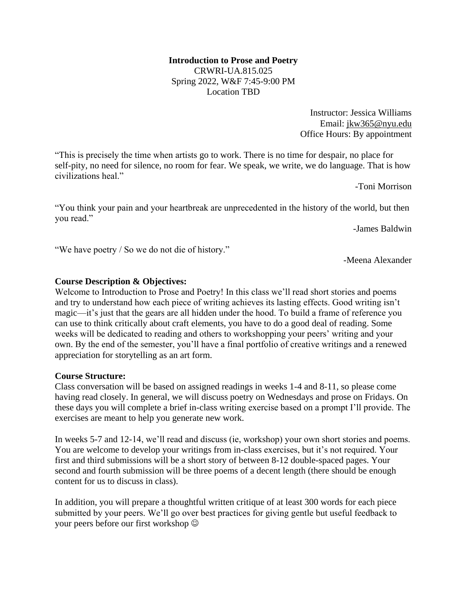## **Introduction to Prose and Poetry** CRWRI-UA.815.025 Spring 2022, W&F 7:45-9:00 PM Location TBD

Instructor: Jessica Williams Email: [jkw365@nyu.edu](mailto:jkw365@nyu.edu) Office Hours: By appointment

"This is precisely the time when artists go to work. There is no time for despair, no place for self-pity, no need for silence, no room for fear. We speak, we write, we do language. That is how civilizations heal."

-Toni Morrison

"You think your pain and your heartbreak are unprecedented in the history of the world, but then you read."

-James Baldwin

"We have poetry / So we do not die of history."

-Meena Alexander

## **Course Description & Objectives:**

Welcome to Introduction to Prose and Poetry! In this class we'll read short stories and poems and try to understand how each piece of writing achieves its lasting effects. Good writing isn't magic—it's just that the gears are all hidden under the hood. To build a frame of reference you can use to think critically about craft elements, you have to do a good deal of reading. Some weeks will be dedicated to reading and others to workshopping your peers' writing and your own. By the end of the semester, you'll have a final portfolio of creative writings and a renewed appreciation for storytelling as an art form.

#### **Course Structure:**

Class conversation will be based on assigned readings in weeks 1-4 and 8-11, so please come having read closely. In general, we will discuss poetry on Wednesdays and prose on Fridays. On these days you will complete a brief in-class writing exercise based on a prompt I'll provide. The exercises are meant to help you generate new work.

In weeks 5-7 and 12-14, we'll read and discuss (ie, workshop) your own short stories and poems. You are welcome to develop your writings from in-class exercises, but it's not required. Your first and third submissions will be a short story of between 8-12 double-spaced pages. Your second and fourth submission will be three poems of a decent length (there should be enough content for us to discuss in class).

In addition, you will prepare a thoughtful written critique of at least 300 words for each piece submitted by your peers. We'll go over best practices for giving gentle but useful feedback to your peers before our first workshop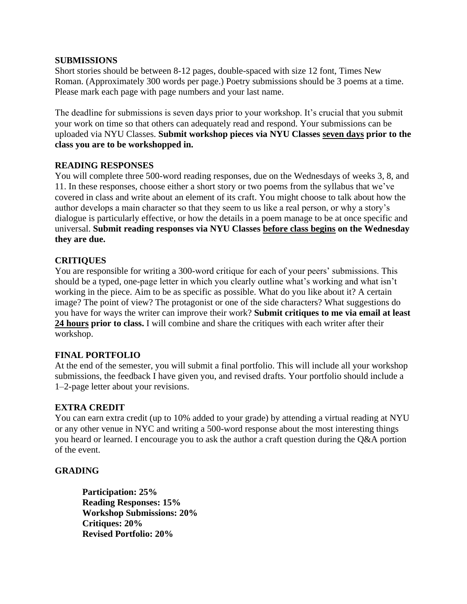#### **SUBMISSIONS**

Short stories should be between 8-12 pages, double-spaced with size 12 font, Times New Roman. (Approximately 300 words per page.) Poetry submissions should be 3 poems at a time. Please mark each page with page numbers and your last name.

The deadline for submissions is seven days prior to your workshop. It's crucial that you submit your work on time so that others can adequately read and respond. Your submissions can be uploaded via NYU Classes. **Submit workshop pieces via NYU Classes seven days prior to the class you are to be workshopped in.**

## **READING RESPONSES**

You will complete three 500-word reading responses, due on the Wednesdays of weeks 3, 8, and 11. In these responses, choose either a short story or two poems from the syllabus that we've covered in class and write about an element of its craft. You might choose to talk about how the author develops a main character so that they seem to us like a real person, or why a story's dialogue is particularly effective, or how the details in a poem manage to be at once specific and universal. **Submit reading responses via NYU Classes before class begins on the Wednesday they are due.**

# **CRITIQUES**

You are responsible for writing a 300-word critique for each of your peers' submissions. This should be a typed, one-page letter in which you clearly outline what's working and what isn't working in the piece. Aim to be as specific as possible. What do you like about it? A certain image? The point of view? The protagonist or one of the side characters? What suggestions do you have for ways the writer can improve their work? **Submit critiques to me via email at least 24 hours prior to class.** I will combine and share the critiques with each writer after their workshop.

#### **FINAL PORTFOLIO**

At the end of the semester, you will submit a final portfolio. This will include all your workshop submissions, the feedback I have given you, and revised drafts. Your portfolio should include a 1–2-page letter about your revisions.

#### **EXTRA CREDIT**

You can earn extra credit (up to 10% added to your grade) by attending a virtual reading at NYU or any other venue in NYC and writing a 500-word response about the most interesting things you heard or learned. I encourage you to ask the author a craft question during the Q&A portion of the event.

#### **GRADING**

**Participation: 25% Reading Responses: 15% Workshop Submissions: 20% Critiques: 20% Revised Portfolio: 20%**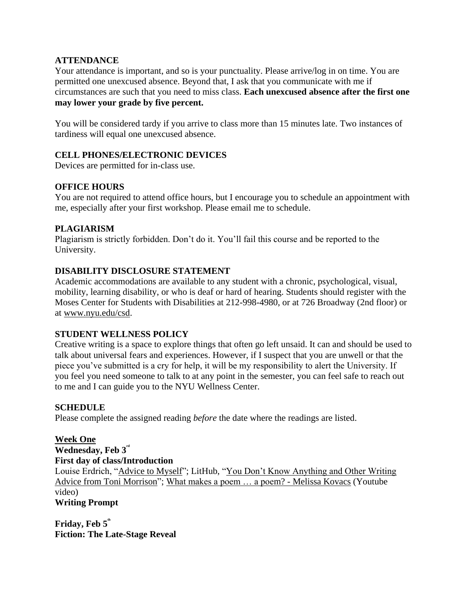## **ATTENDANCE**

Your attendance is important, and so is your punctuality. Please arrive/log in on time. You are permitted one unexcused absence. Beyond that, I ask that you communicate with me if circumstances are such that you need to miss class. **Each unexcused absence after the first one may lower your grade by five percent.**

You will be considered tardy if you arrive to class more than 15 minutes late. Two instances of tardiness will equal one unexcused absence.

## **CELL PHONES/ELECTRONIC DEVICES**

Devices are permitted for in-class use.

## **OFFICE HOURS**

You are not required to attend office hours, but I encourage you to schedule an appointment with me, especially after your first workshop. Please email me to schedule.

## **PLAGIARISM**

Plagiarism is strictly forbidden. Don't do it. You'll fail this course and be reported to the University.

# **DISABILITY DISCLOSURE STATEMENT**

Academic accommodations are available to any student with a chronic, psychological, visual, mobility, learning disability, or who is deaf or hard of hearing. Students should register with the Moses Center for Students with Disabilities at 212-998-4980, or at 726 Broadway (2nd floor) or at [www.nyu.edu/csd.](http://www.nyu.edu/csd)

#### **STUDENT WELLNESS POLICY**

Creative writing is a space to explore things that often go left unsaid. It can and should be used to talk about universal fears and experiences. However, if I suspect that you are unwell or that the piece you've submitted is a cry for help, it will be my responsibility to alert the University. If you feel you need someone to talk to at any point in the semester, you can feel safe to reach out to me and I can guide you to the NYU Wellness Center.

#### **SCHEDULE**

Please complete the assigned reading *before* the date where the readings are listed.

#### **Week One**

## **Wednesday, Feb 3rd**

## **First day of class/Introduction**

Louise Erdrich, ["Advice to Myself"](https://wordsfortheyear.com/2016/05/04/advice-to-myself-by-louise-erdrich/); LitHub, ["You Don't Know Anything and Other Writing](https://lithub.com/you-dont-know-anything-and-other-writing-advice-from-toni-morrison/)  [Advice from Toni Morrison"](https://lithub.com/you-dont-know-anything-and-other-writing-advice-from-toni-morrison/); [What makes a poem … a poem? -](https://www.youtube.com/watch?v=JwhouCNq-Fc) Melissa Kovacs (Youtube video) **Writing Prompt**

Friday, Feb  $5^{\circ}$ **Fiction: The Late-Stage Reveal**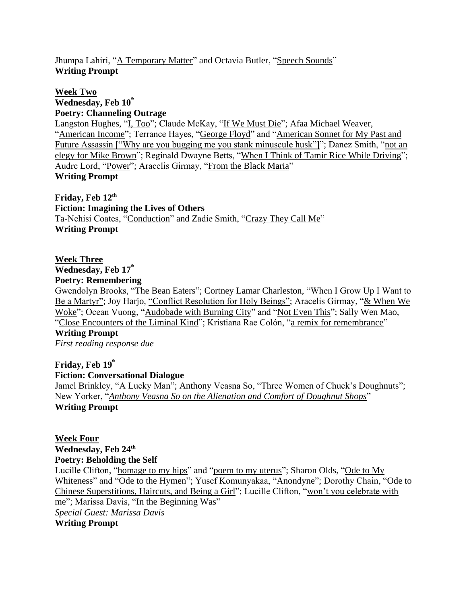Jhumpa Lahiri, ["A Temporary Matter"](http://djrabb72.weebly.com/uploads/2/2/6/9/22696388/a_temporary_matter.pdf) and Octavia Butler, ["Speech Sounds"](https://www.unl.edu/english/docs/englishweek17/engl200-speechsounds.pdf) **Writing Prompt**

## **Week Two** Wednesday, Feb  $10<sup>th</sup>$ **Poetry: Channeling Outrage**

Langston Hughes, ["I, Too"](https://www.poetryfoundation.org/poems/47558/i-too); Claude McKay, ["If We Must Die"](https://www.poetryfoundation.org/poems/44694/if-we-must-die); Afaa Michael Weaver, ["American Income"](https://www.poetryfoundation.org/poetrymagazine/poems/49296/american-income); Terrance Hayes, ["George Floyd"](https://www.newyorker.com/magazine/2020/06/22/george-floyd) and "American Sonnet for My Past and [Future Assassin \["Why are you bugging me you stank minuscule husk"\]"](https://www.poetryfoundation.org/poetrymagazine/poems/143917/american-sonnet-for-my-past-and-future-assassin-598dc83c976f1); Danez Smith, ["not an](https://poets.org/poem/not-elegy-mike-brown)  [elegy for Mike Brown"](https://poets.org/poem/not-elegy-mike-brown); Reginald Dwayne Betts, ["When I Think of Tamir Rice While Driving"](https://poets.org/poem/when-i-think-tamir-rice-while-driving); Audre Lord, ["Power"](https://www.poetryfoundation.org/poems/53918/power-56d233adafeb3); Aracelis Girmay, ["From the Black Maria"](https://www.poetryfoundation.org/poems/141994/i-the-black-maria) **Writing Prompt**

**Friday, Feb 12th Fiction: Imagining the Lives of Others** Ta-Nehisi Coates, ["Conduction"](https://www.newyorker.com/magazine/2019/06/10/conduction) and Zadie Smith, ["Crazy They Call Me"](https://www.newyorker.com/magazine/2017/03/06/crazy-they-call-me) **Writing Prompt**

# **Week Three**

Wednesday, Feb  $17<sup>th</sup>$ 

## **Poetry: Remembering**

Gwendolyn Brooks, ["The Bean Eaters"](https://www.poetryfoundation.org/poetrymagazine/poems/28110/the-bean-eaters); Cortney Lamar Charleston, ["When I Grow Up I Want to](https://www.poetryfoundation.org/poetrymagazine/poems/144621/when-i-grow-up-i-want-to-be-a-martyr)  [Be a Martyr";](https://www.poetryfoundation.org/poetrymagazine/poems/144621/when-i-grow-up-i-want-to-be-a-martyr) Joy Harjo, ["Conflict Resolution for Holy Beings";](https://www.poetryfoundation.org/poems/141847/conflict-resolution-for-holy-beings) Aracelis Girmay, ["& When We](https://blog.bestamericanpoetry.com/the_best_american_poetry/2018/02/where-my-dreaming-and-my-loving-live-poetry-the-body-aracelis-girmay.html)  [Woke"](https://blog.bestamericanpoetry.com/the_best_american_poetry/2018/02/where-my-dreaming-and-my-loving-live-poetry-the-body-aracelis-girmay.html); Ocean Vuong, ["Audobade with Burning City"](https://www.poetryfoundation.org/poetrymagazine/poems/56769/aubade-with-burning-city) and ["Not Even This"](https://www.poetryfoundation.org/poetrymagazine/poems/152940/not-even-this); Sally Wen Mao, ["Close Encounters of the Liminal Kind"](https://kenyonreview.org/kr-online-issue/2014-fall/selections/sally-wen-mao-763879/); Kristiana Rae Colón, ["a remix for remembrance"](https://www.poetryfoundation.org/poetrymagazine/poems/58060/a-remix-for-remembrance)

# **Writing Prompt**

*First reading response due*

# Friday, Feb  $19^{\circ}$

# **Fiction: Conversational Dialogue**

Jamel Brinkley, "A Lucky Man"; Anthony Veasna So, ["Three Women of Chuck's Doughnuts"](https://www.newyorker.com/magazine/2020/02/10/three-women-of-chucks-donuts); New Yorker, "*Anthony Veasna So [on the Alienation and Comfort of Doughnut Shops](https://www.newyorker.com/books/this-week-in-fiction/anthony-veasna-so-02-10-20)*" **Writing Prompt**

**Week Four Wednesday, Feb 24th Poetry: Beholding the Self** Lucille Clifton, ["homage to my hips"](https://www.poetryfoundation.org/poems/49487/homage-to-my-hips) and ["poem to my uterus"](https://poets.org/poem/poem-my-uterus); Sharon Olds, ["Ode to My](https://onbeing.org/poetry/ode-to-my-whiteness/)  [Whiteness"](https://onbeing.org/poetry/ode-to-my-whiteness/) and ["Ode to the Hymen"](https://poetryarchive.org/poem/ode-to-the-hymen/); Yusef Komunyakaa, ["Anondyne"](https://poetrysociety.org/features/ars-poetica/yusef-komunyakaa); Dorothy Chain, ["Ode to](https://www.poetryfoundation.org/poetrymagazine/poems/154237/ode-to-chinese-superstitions-haircuts-and-being-a-girl)  [Chinese Superstitions, Haircuts, and Being a Girl"](https://www.poetryfoundation.org/poetrymagazine/poems/154237/ode-to-chinese-superstitions-haircuts-and-being-a-girl); Lucille Clifton, ["won't you celebrate with](https://www.poetryfoundation.org/poems/50974/wont-you-celebrate-with-me)  [me"](https://www.poetryfoundation.org/poems/50974/wont-you-celebrate-with-me); Marissa Davis, ["In the Beginning Was"](https://www.peachmgzn.com/marissa-davis) *Special Guest: Marissa Davis* **Writing Prompt**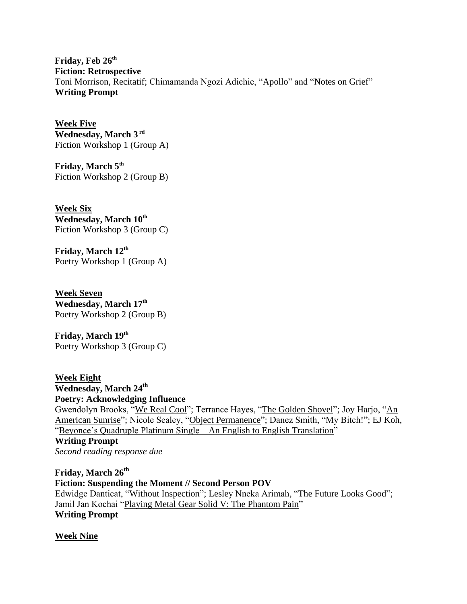**Friday, Feb 26th Fiction: Retrospective** Toni Morrison, [Recitatif;](https://www.cusd80.com/cms/lib/AZ01001175/Centricity/Domain/1073/Morrison_recitatifessay.doc.pdf) Chimamanda Ngozi Adichie, ["Apollo"](https://www.newyorker.com/magazine/2015/04/13/apollo) and ["Notes on Grief"](https://www.newyorker.com/culture/personal-history/notes-on-grief) **Writing Prompt**

**Week Five Wednesday, March 3 rd** Fiction Workshop 1 (Group A)

**Friday, March 5th** Fiction Workshop 2 (Group B)

**Week Six Wednesday, March 10th** Fiction Workshop 3 (Group C)

**Friday, March 12th** Poetry Workshop 1 (Group A)

**Week Seven Wednesday, March 17th** Poetry Workshop 2 (Group B)

**Friday, March 19th** Poetry Workshop 3 (Group C)

**Week Eight Wednesday, March 24th Poetry: Acknowledging Influence** Gwendolyn Brooks, ["We Real Cool"](https://www.poetryfoundation.org/poetrymagazine/poems/28112/we-real-cool); Terrance Hayes, ["The Golden Shovel"](https://www.poetryfoundation.org/poems/55678/the-golden-shovel); Joy Harjo, "An [American Sunrise"](https://www.poetryfoundation.org/poetrymagazine/poems/92063/an-american-sunrise); Nicole Sealey, ["Object Permanence"](https://www.aprweb.org/poems/object-permanence); Danez Smith, "My Bitch!"; EJ Koh, ["Beyonce's Quadruple Platinum Single –](https://howjournal.files.wordpress.com/2012/12/beyoncc3a9_s-quadruple-platinum-single.pdf) An English to English Translation" **Writing Prompt** *Second reading response due*

**Friday, March 26th Fiction: Suspending the Moment // Second Person POV** Edwidge Danticat, ["Without Inspection"](https://www.newyorker.com/magazine/2018/05/14/without-inspection); Lesley Nneka Arimah, ["The Future Looks Good"](https://pankmagazine.com/piece/the-future-looks-good/); Jamil Jan Kochai ["Playing Metal Gear Solid V: The Phantom Pain"](https://www.newyorker.com/magazine/2020/01/06/playing-metal-gear-solid-v-the-phantom-pain) **Writing Prompt**

**Week Nine**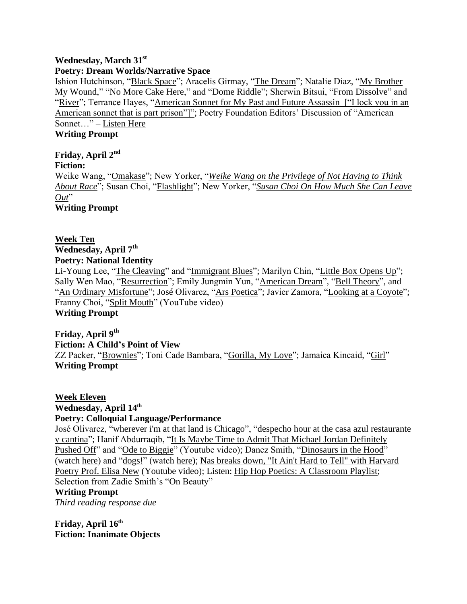## **Wednesday, March 31st**

## **Poetry: Dream Worlds/Narrative Space**

Ishion Hutchinson, ["Black Space"](https://www.poetryfoundation.org/poetrymagazine/poems/91662/black-space); Aracelis Girmay, ["The Dream"](https://www.poetryfoundation.org/poems/56718/the-dream-56d2397aea737); Natalie Diaz, ["My Brother](https://www.poetryfoundation.org/poetrymagazine/poems/56832/my-brother-my-wound)  [My Wound,](https://www.poetryfoundation.org/poetrymagazine/poems/56832/my-brother-my-wound)" ["No More Cake Here,](https://www.poetryfoundation.org/poems/56356/no-more-cake-here)" and ["Dome Riddle"](https://www.poetryfoundation.org/poems/151340/dome-riddle); Sherwin Bitsui, ["From Dissolve"](https://www.poetryfoundation.org/poetrymagazine/poems/146224/from-dissolve) and ["River"](https://www.poetryfoundation.org/poems/51859/river-56d22fe2e08fa); Terrance Hayes, ["American Sonnet for My Past and Future Assassin](https://www.poetryfoundation.org/poetrymagazine/poems/143917/american-sonnet-for-my-past-and-future-assassin-598dc83c976f1) ["I lock you in an [American sonnet that is part prison"\]";](https://www.poetryfoundation.org/poetrymagazine/poems/143917/american-sonnet-for-my-past-and-future-assassin-598dc83c976f1) Poetry Foundation Editors' Discussion of "American Sonnet…" – [Listen Here](https://www.poetryfoundation.org/podcasts/144101/terrance-hayes-reads-american-sonnet-for-my-past-and-future-assassin)

# **Writing Prompt**

**Friday, April 2 nd Fiction:**  Weike Wang, ["Omakase"](https://www.newyorker.com/magazine/2018/06/18/omakase); New Yorker, "*[Weike Wang on the Privilege of Not Having to Think](https://www.newyorker.com/books/this-week-in-fiction/fiction-this-week-weike-wang-2018-06-18)  [About Race](https://www.newyorker.com/books/this-week-in-fiction/fiction-this-week-weike-wang-2018-06-18)*"; Susan Choi, ["Flashlight"](https://www.newyorker.com/magazine/2020/09/07/flashlight); New Yorker, "*[Susan Choi On How Much She Can Leave](https://www.newyorker.com/books/this-week-in-fiction/susan-choi-09-07-20?source=search_google_dsa_paid&gclid=Cj0KCQjw59n8BRD2ARIsAAmgPmKdrf01T8JjsT6edyUkJB1QrgP8ZDUFWqUZ0TfHbw3vHAU7FZea4rEaAiG8EALw_wcB)*  [Out](https://www.newyorker.com/books/this-week-in-fiction/susan-choi-09-07-20?source=search_google_dsa_paid&gclid=Cj0KCQjw59n8BRD2ARIsAAmgPmKdrf01T8JjsT6edyUkJB1QrgP8ZDUFWqUZ0TfHbw3vHAU7FZea4rEaAiG8EALw_wcB)" **Writing Prompt**

## **Week Ten**

**Wednesday, April 7 th Poetry: National Identity**

Li-Young Lee, ["The Cleaving"](https://www.poetryfoundation.org/poems/50871/the-cleaving) and ["Immigrant Blues"](https://www.poetryfoundation.org/poems/52210/immigrant-blues); Marilyn Chin, ["Little Box Opens Up"](https://www.poetryfoundation.org/poetrymagazine/poems/89357/little-box-opens-up); Sally Wen Mao, ["Resurrection"](https://www.poetryfoundation.org/poems/149819/resurrection-5cb8f5cb4ca0c); Emily Jungmin Yun, ["American Dream"](https://www.poetryfoundation.org/poetrymagazine/poems/144624/american-dream), ["Bell Theory"](https://www.poetryfoundation.org/poetrymagazine/poems/92386/bell-theory), and ["An Ordinary Misfortune"](file:///C:/Users/jwilliams01/Downloads/An%20Ordinary%20Misfortune%20%5b%22She%20is%20girl.%20She%20is%20gravel.%22%5d%20BY%20EMILY%20JUNGMIN%20YOON%20She%20is%20girl.%20She%20is%20gravel.%20She%20is%20grabbed.%20She%20is%20grabbed%20like%20handfuls%20of%20gravel.%20Gravel%20grated%20by%20water.%20Her%20village%20is%20full%20of%20gravel%20fields.%20It%20is%201950.%20She%20is%20girl.%20She%20is%20grabbed.%20She%20is%20not%20my%20grandmother,%20though%20my%20grandmother%20is%20girl.%20My%20grandmother’s%20father%20closes%20the%20gates.%20Against%20American%20soldiers,%20though%20they%20jump%20over%20stone%20walls.%20To%20a%20girl%20who%20is%20not%20my%20grandmother.%20The%20girl%20is%20gravel%20grabbed.%20Her%20language%20is%20gravel%20because%20it%20means%20nothing.%20Hands%20full%20of%20girl.%20Fields%20full%20of%20gravel.%20Korea%20is%20gravel%20and%20graves.%20Girl%20is%20girl%20and%20she%20will%20never%20be%20a%20grandmother.%20She%20will%20be%20girl,%20girl%20is%20gravel%20and%20history%20will%20skip%20her%20like%20stone%20over%20water.%20Oh%20girl,%20oh%20glory.%20Girl.); José Olivarez, ["Ars Poetica"](https://www.poetryfoundation.org/poetrymagazine/poems/151517/ars-poetica-5dc04e4e608b9); Javier Zamora, ["Looking at a Coyote"](https://www.poetryfoundation.org/poetrymagazine/poems/58468/looking-at-a-coyote); Franny Choi, ["Split Mouth"](https://www.youtube.com/watch?v=BuQNwlecYdk) (YouTube video) **Writing Prompt**

# **Friday, April 9 th Fiction: A Child's Point of View**

ZZ Packer, ["Brownies"](http://writ101van.weebly.com/uploads/2/2/7/3/22735066/packer_brownies.pdf); Toni Cade Bambara, ["Gorilla, My Love"](https://www.bhamcityschools.org/cms/lib5/AL01001646/Centricity/Domain/4460/gorilla-my-love.pdf); Jamaica Kincaid, ["Girl"](https://macmedplacebo.files.wordpress.com/2015/12/girl-jamaica-kincaid.pdf) **Writing Prompt**

**Week Eleven Wednesday, April 14 th Poetry: Colloquial Language/Performance** José Olivarez, ["wherever i'm at that land is Chicago"](https://www.poetryfoundation.org/poetrymagazine/poems/151519/wherever-im-at-that-land-is-chicago), ["despecho hour at the casa azul restaurante](https://www.poetryfoundation.org/poetrymagazine/poems/151516/despecho-hour-at-the-casa-azul-restaurante-y-cantina)  [y cantina"](https://www.poetryfoundation.org/poetrymagazine/poems/151516/despecho-hour-at-the-casa-azul-restaurante-y-cantina); Hanif Abdurraqib, ["It Is Maybe Time to Admit That Michael Jordan Definitely](https://poets.org/poem/it-maybe-time-admit-michael-jordan-definitely-pushed)  [Pushed Off"](https://poets.org/poem/it-maybe-time-admit-michael-jordan-definitely-pushed) and ["Ode to Biggie"](https://www.youtube.com/watch?v=aop1sGjhgH8) (Youtube video); Danez Smith, ["Dinosaurs in the Hood"](https://www.poetryfoundation.org/poetrymagazine/poems/57585/dinosaurs-in-the-hood) (watch [here\)](https://www.youtube.com/watch?v=nJwiOTeKDOQ) and ["dogs!"](https://www.poetryfoundation.org/poetrymagazine/poems/145994/dogs) (watch [here\)](https://www.youtube.com/watch?v=XX7FWtFKqfg&t=166s); [Nas breaks down, "It Ain't Hard to Tell" with Harvard](https://www.youtube.com/watch?v=GdmtQDSZS5I)  [Poetry Prof. Elisa New](https://www.youtube.com/watch?v=GdmtQDSZS5I) (Youtube video); Listen: [Hip Hop Poetics: A Classroom Playlist;](https://open.spotify.com/playlist/01prTatcxsL2bxLlMaGAND?si=U3PAJvAYTReMUao-B_7UPw)

Selection from Zadie Smith's "On Beauty"

#### **Writing Prompt**

*Third reading response due*

**Friday, April 16 th Fiction: Inanimate Objects**